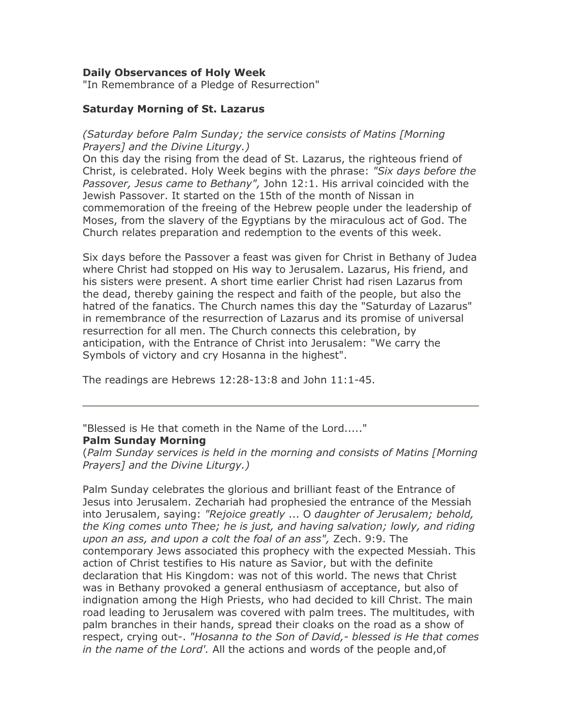### **Daily Observances of Holy Week**

"In Remembrance of a Pledge of Resurrection"

### **Saturday Morning of St. Lazarus**

### *(Saturday before Palm Sunday; the service consists of Matins [Morning Prayers] and the Divine Liturgy.)*

On this day the rising from the dead of St. Lazarus, the righteous friend of Christ, is celebrated. Holy Week begins with the phrase: *"Six days before the Passover, Jesus came to Bethany",* John 12:1. His arrival coincided with the Jewish Passover. It started on the 15th of the month of Nissan in commemoration of the freeing of the Hebrew people under the leadership of Moses, from the slavery of the Egyptians by the miraculous act of God. The Church relates preparation and redemption to the events of this week.

Six days before the Passover a feast was given for Christ in Bethany of Judea where Christ had stopped on His way to Jerusalem. Lazarus, His friend, and his sisters were present. A short time earlier Christ had risen Lazarus from the dead, thereby gaining the respect and faith of the people, but also the hatred of the fanatics. The Church names this day the "Saturday of Lazarus" in remembrance of the resurrection of Lazarus and its promise of universal resurrection for all men. The Church connects this celebration, by anticipation, with the Entrance of Christ into Jerusalem: "We carry the Symbols of victory and cry Hosanna in the highest".

The readings are Hebrews 12:28-13:8 and John 11:1-45.

"Blessed is He that cometh in the Name of the Lord....." **Palm Sunday Morning**

(*Palm Sunday services is held in the morning and consists of Matins [Morning Prayers] and the Divine Liturgy.)*

Palm Sunday celebrates the glorious and brilliant feast of the Entrance of Jesus into Jerusalem. Zechariah had prophesied the entrance of the Messiah into Jerusalem, saying: *"Rejoice greatly* ... O *daughter of Jerusalem; behold, the King comes unto Thee; he is just, and having salvation; lowly, and riding upon an ass, and upon a colt the foal of an ass",* Zech. 9:9. The contemporary Jews associated this prophecy with the expected Messiah. This action of Christ testifies to His nature as Savior, but with the definite declaration that His Kingdom: was not of this world. The news that Christ was in Bethany provoked a general enthusiasm of acceptance, but also of indignation among the High Priests, who had decided to kill Christ. The main road leading to Jerusalem was covered with palm trees. The multitudes, with palm branches in their hands, spread their cloaks on the road as a show of respect, crying out-. *"Hosanna to the Son of David,- blessed is He that comes in the name of the Lord'.* All the actions and words of the people and,of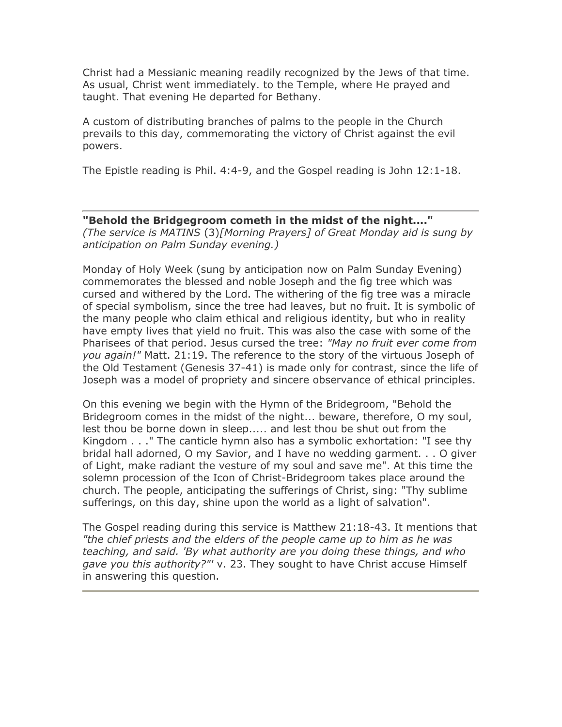Christ had a Messianic meaning readily recognized by the Jews of that time. As usual, Christ went immediately. to the Temple, where He prayed and taught. That evening He departed for Bethany.

A custom of distributing branches of palms to the people in the Church prevails to this day, commemorating the victory of Christ against the evil powers.

The Epistle reading is Phil. 4:4-9, and the Gospel reading is John 12:1-18.

# **"Behold the Bridgegroom cometh in the midst of the night...."**

*(The service is MATINS* (3)*[Morning Prayers] of Great Monday aid is sung by anticipation on Palm Sunday evening.)*

Monday of Holy Week (sung by anticipation now on Palm Sunday Evening) commemorates the blessed and noble Joseph and the fig tree which was cursed and withered by the Lord. The withering of the fig tree was a miracle of special symbolism, since the tree had leaves, but no fruit. It is symbolic of the many people who claim ethical and religious identity, but who in reality have empty lives that yield no fruit. This was also the case with some of the Pharisees of that period. Jesus cursed the tree: *"May no fruit ever come from you again!"* Matt. 21:19. The reference to the story of the virtuous Joseph of the Old Testament (Genesis 37-41) is made only for contrast, since the life of Joseph was a model of propriety and sincere observance of ethical principles.

On this evening we begin with the Hymn of the Bridegroom, "Behold the Bridegroom comes in the midst of the night... beware, therefore, O my soul, lest thou be borne down in sleep..... and lest thou be shut out from the Kingdom . . ." The canticle hymn also has a symbolic exhortation: "I see thy bridal hall adorned, O my Savior, and I have no wedding garment. . . O giver of Light, make radiant the vesture of my soul and save me". At this time the solemn procession of the Icon of Christ-Bridegroom takes place around the church. The people, anticipating the sufferings of Christ, sing: "Thy sublime sufferings, on this day, shine upon the world as a light of salvation".

The Gospel reading during this service is Matthew 21:18-43. It mentions that *"the chief priests and the elders of the people came up to him as he was teaching, and said. 'By what authority are you doing these things, and who gave you this authority?"'* v. 23. They sought to have Christ accuse Himself in answering this question.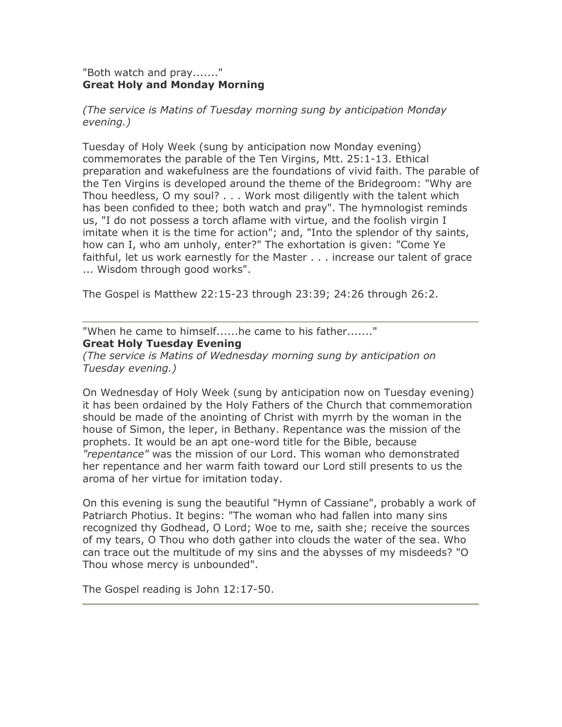### "Both watch and pray......." **Great Holy and Monday Morning**

## *(The service is Matins of Tuesday morning sung by anticipation Monday evening.)*

Tuesday of Holy Week (sung by anticipation now Monday evening) commemorates the parable of the Ten Virgins, Mtt. 25:1-13. Ethical preparation and wakefulness are the foundations of vivid faith. The parable of the Ten Virgins is developed around the theme of the Bridegroom: "Why are Thou heedless, O my soul? . . . Work most diligently with the talent which has been confided to thee; both watch and pray". The hymnologist reminds us, "I do not possess a torch aflame with virtue, and the foolish virgin I imitate when it is the time for action"; and, "Into the splendor of thy saints, how can I, who am unholy, enter?" The exhortation is given: "Come Ye faithful, let us work earnestly for the Master . . . increase our talent of grace ... Wisdom through good works".

The Gospel is Matthew 22:15-23 through 23:39; 24:26 through 26:2.

"When he came to himself......he came to his father......." **Great Holy Tuesday Evening**

*(The service is Matins of Wednesday morning sung by anticipation on Tuesday evening.)*

On Wednesday of Holy Week (sung by anticipation now on Tuesday evening) it has been ordained by the Holy Fathers of the Church that commemoration should be made of the anointing of Christ with myrrh by the woman in the house of Simon, the leper, in Bethany. Repentance was the mission of the prophets. It would be an apt one-word title for the Bible, because *"repentance"* was the mission of our Lord. This woman who demonstrated her repentance and her warm faith toward our Lord still presents to us the aroma of her virtue for imitation today.

On this evening is sung the beautiful "Hymn of Cassiane", probably a work of Patriarch Photius. It begins: "The woman who had fallen into many sins recognized thy Godhead, O Lord; Woe to me, saith she; receive the sources of my tears, O Thou who doth gather into clouds the water of the sea. Who can trace out the multitude of my sins and the abysses of my misdeeds? "O Thou whose mercy is unbounded".

The Gospel reading is John 12:17-50.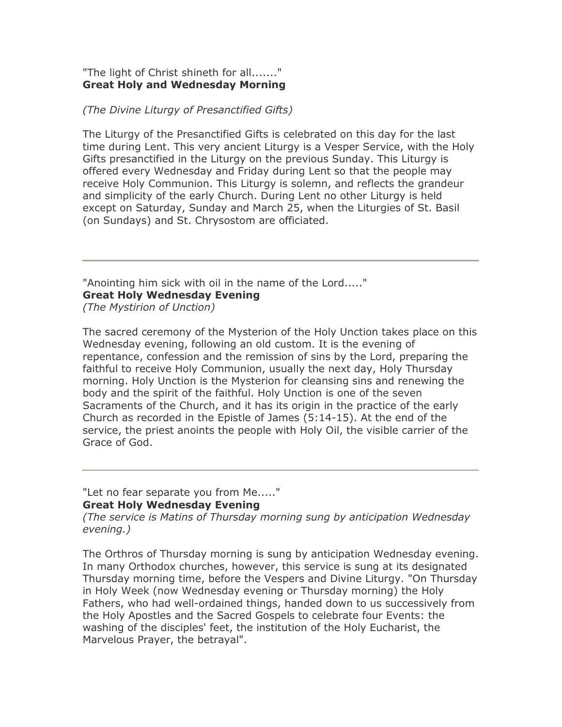### "The light of Christ shineth for all......." **Great Holy and Wednesday Morning**

### *(The Divine Liturgy of Presanctified Gifts)*

The Liturgy of the Presanctified Gifts is celebrated on this day for the last time during Lent. This very ancient Liturgy is a Vesper Service, with the Holy Gifts presanctified in the Liturgy on the previous Sunday. This Liturgy is offered every Wednesday and Friday during Lent so that the people may receive Holy Communion. This Liturgy is solemn, and reflects the grandeur and simplicity of the early Church. During Lent no other Liturgy is held except on Saturday, Sunday and March 25, when the Liturgies of St. Basil (on Sundays) and St. Chrysostom are officiated.

"Anointing him sick with oil in the name of the Lord....." **Great Holy Wednesday Evening** *(The Mystirion of Unction)*

The sacred ceremony of the Mysterion of the Holy Unction takes place on this Wednesday evening, following an old custom. It is the evening of repentance, confession and the remission of sins by the Lord, preparing the faithful to receive Holy Communion, usually the next day, Holy Thursday morning. Holy Unction is the Mysterion for cleansing sins and renewing the body and the spirit of the faithful. Holy Unction is one of the seven Sacraments of the Church, and it has its origin in the practice of the early Church as recorded in the Epistle of James (5:14-15). At the end of the service, the priest anoints the people with Holy Oil, the visible carrier of the Grace of God.

"Let no fear separate you from Me....."

## **Great Holy Wednesday Evening**

*(The service is Matins of Thursday morning sung by anticipation Wednesday evening.)*

The Orthros of Thursday morning is sung by anticipation Wednesday evening. In many Orthodox churches, however, this service is sung at its designated Thursday morning time, before the Vespers and Divine Liturgy. "On Thursday in Holy Week (now Wednesday evening or Thursday morning) the Holy Fathers, who had well-ordained things, handed down to us successively from the Holy Apostles and the Sacred Gospels to celebrate four Events: the washing of the disciples' feet, the institution of the Holy Eucharist, the Marvelous Prayer, the betrayal".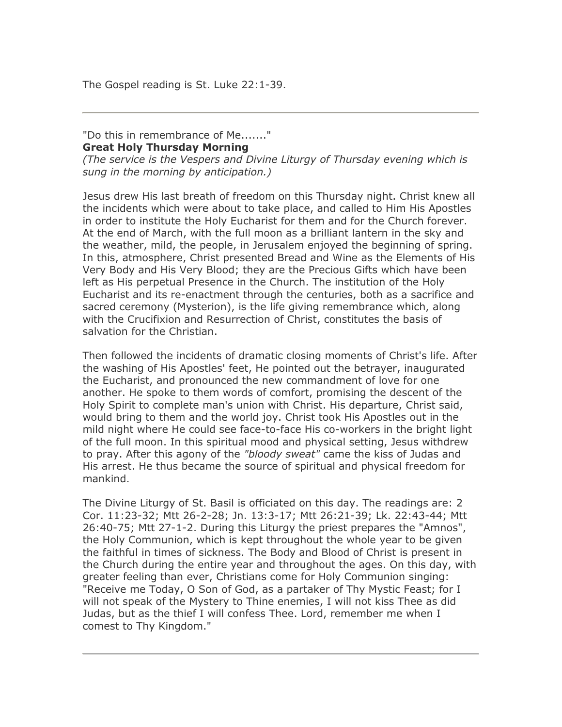The Gospel reading is St. Luke 22:1-39.

# "Do this in remembrance of Me......." **Great Holy Thursday Morning**

*(The service is the Vespers and Divine Liturgy of Thursday evening which is sung in the morning by anticipation.)*

Jesus drew His last breath of freedom on this Thursday night. Christ knew all the incidents which were about to take place, and called to Him His Apostles in order to institute the Holy Eucharist for them and for the Church forever. At the end of March, with the full moon as a brilliant lantern in the sky and the weather, mild, the people, in Jerusalem enjoyed the beginning of spring. In this, atmosphere, Christ presented Bread and Wine as the Elements of His Very Body and His Very Blood; they are the Precious Gifts which have been left as His perpetual Presence in the Church. The institution of the Holy Eucharist and its re-enactment through the centuries, both as a sacrifice and sacred ceremony (Mysterion), is the life giving remembrance which, along with the Crucifixion and Resurrection of Christ, constitutes the basis of salvation for the Christian.

Then followed the incidents of dramatic closing moments of Christ's life. After the washing of His Apostles' feet, He pointed out the betrayer, inaugurated the Eucharist, and pronounced the new commandment of love for one another. He spoke to them words of comfort, promising the descent of the Holy Spirit to complete man's union with Christ. His departure, Christ said, would bring to them and the world joy. Christ took His Apostles out in the mild night where He could see face-to-face His co-workers in the bright light of the full moon. In this spiritual mood and physical setting, Jesus withdrew to pray. After this agony of the *"bloody sweat"* came the kiss of Judas and His arrest. He thus became the source of spiritual and physical freedom for mankind.

The Divine Liturgy of St. Basil is officiated on this day. The readings are: 2 Cor. 11:23-32; Mtt 26-2-28; Jn. 13:3-17; Mtt 26:21-39; Lk. 22:43-44; Mtt 26:40-75; Mtt 27-1-2. During this Liturgy the priest prepares the "Amnos", the Holy Communion, which is kept throughout the whole year to be given the faithful in times of sickness. The Body and Blood of Christ is present in the Church during the entire year and throughout the ages. On this day, with greater feeling than ever, Christians come for Holy Communion singing: "Receive me Today, O Son of God, as a partaker of Thy Mystic Feast; for I will not speak of the Mystery to Thine enemies, I will not kiss Thee as did Judas, but as the thief I will confess Thee. Lord, remember me when I comest to Thy Kingdom."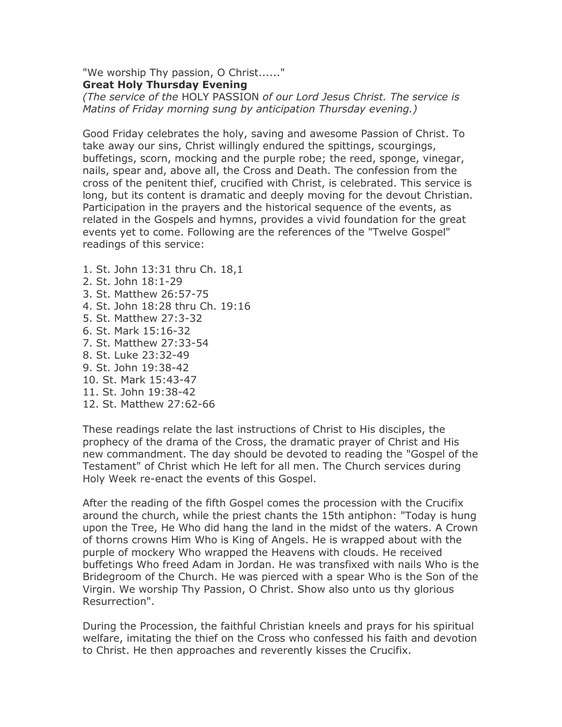"We worship Thy passion, O Christ......" **Great Holy Thursday Evening**

*(The service of the* HOLY PASSION *of our Lord Jesus Christ. The service is Matins of Friday morning sung by anticipation Thursday evening.)*

Good Friday celebrates the holy, saving and awesome Passion of Christ. To take away our sins, Christ willingly endured the spittings, scourgings, buffetings, scorn, mocking and the purple robe; the reed, sponge, vinegar, nails, spear and, above all, the Cross and Death. The confession from the cross of the penitent thief, crucified with Christ, is celebrated. This service is long, but its content is dramatic and deeply moving for the devout Christian. Participation in the prayers and the historical sequence of the events, as related in the Gospels and hymns, provides a vivid foundation for the great events yet to come. Following are the references of the "Twelve Gospel" readings of this service:

- 1. St. John 13:31 thru Ch. 18,1 2. St. John 18:1-29
- 3. St. Matthew 26:57-75
- 4. St. John 18:28 thru Ch. 19:16
- 5. St. Matthew 27:3-32
- 6. St. Mark 15:16-32
- 7. St. Matthew 27:33-54
- 8. St. Luke 23:32-49
- 9. St. John 19:38-42
- 10. St. Mark 15:43-47
- 11. St. John 19:38-42
- 12. St. Matthew 27:62-66

These readings relate the last instructions of Christ to His disciples, the prophecy of the drama of the Cross, the dramatic prayer of Christ and His new commandment. The day should be devoted to reading the "Gospel of the Testament" of Christ which He left for all men. The Church services during Holy Week re-enact the events of this Gospel.

After the reading of the fifth Gospel comes the procession with the Crucifix around the church, while the priest chants the 15th antiphon: "Today is hung upon the Tree, He Who did hang the land in the midst of the waters. A Crown of thorns crowns Him Who is King of Angels. He is wrapped about with the purple of mockery Who wrapped the Heavens with clouds. He received buffetings Who freed Adam in Jordan. He was transfixed with nails Who is the Bridegroom of the Church. He was pierced with a spear Who is the Son of the Virgin. We worship Thy Passion, O Christ. Show also unto us thy glorious Resurrection".

During the Procession, the faithful Christian kneels and prays for his spiritual welfare, imitating the thief on the Cross who confessed his faith and devotion to Christ. He then approaches and reverently kisses the Crucifix.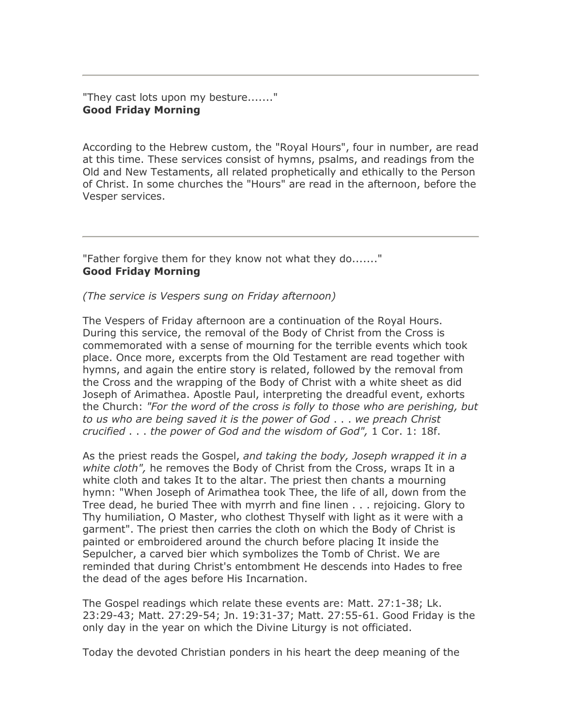"They cast lots upon my besture......." **Good Friday Morning**

According to the Hebrew custom, the "Royal Hours", four in number, are read at this time. These services consist of hymns, psalms, and readings from the Old and New Testaments, all related prophetically and ethically to the Person of Christ. In some churches the "Hours" are read in the afternoon, before the Vesper services.

"Father forgive them for they know not what they do......." **Good Friday Morning**

*(The service is Vespers sung on Friday afternoon)*

The Vespers of Friday afternoon are a continuation of the Royal Hours. During this service, the removal of the Body of Christ from the Cross is commemorated with a sense of mourning for the terrible events which took place. Once more, excerpts from the Old Testament are read together with hymns, and again the entire story is related, followed by the removal from the Cross and the wrapping of the Body of Christ with a white sheet as did Joseph of Arimathea. Apostle Paul, interpreting the dreadful event, exhorts the Church: *"For the word of the cross is folly to those who are perishing, but to us who are being saved it is the power of God* . . . *we preach Christ crucified* . . . *the power of God and the wisdom of God",* 1 Cor. 1: 18f.

As the priest reads the Gospel, *and taking the body, Joseph wrapped it in a white cloth",* he removes the Body of Christ from the Cross, wraps It in a white cloth and takes It to the altar. The priest then chants a mourning hymn: "When Joseph of Arimathea took Thee, the life of all, down from the Tree dead, he buried Thee with myrrh and fine linen . . . rejoicing. Glory to Thy humiliation, O Master, who clothest Thyself with light as it were with a garment". The priest then carries the cloth on which the Body of Christ is painted or embroidered around the church before placing It inside the Sepulcher, a carved bier which symbolizes the Tomb of Christ. We are reminded that during Christ's entombment He descends into Hades to free the dead of the ages before His Incarnation.

The Gospel readings which relate these events are: Matt. 27:1-38; Lk. 23:29-43; Matt. 27:29-54; Jn. 19:31-37; Matt. 27:55-61. Good Friday is the only day in the year on which the Divine Liturgy is not officiated.

Today the devoted Christian ponders in his heart the deep meaning of the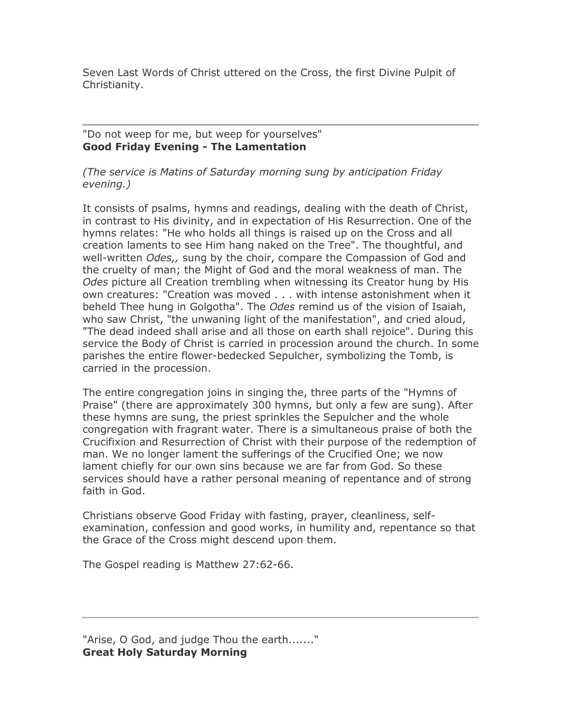Seven Last Words of Christ uttered on the Cross, the first Divine Pulpit of Christianity.

"Do not weep for me, but weep for yourselves" **Good Friday Evening - The Lamentation**

*(The service is Matins of Saturday morning sung by anticipation Friday evening.)*

It consists of psalms, hymns and readings, dealing with the death of Christ, in contrast to His divinity, and in expectation of His Resurrection. One of the hymns relates: "He who holds all things is raised up on the Cross and all creation laments to see Him hang naked on the Tree". The thoughtful, and well-written *Odes,,* sung by the choir, compare the Compassion of God and the cruelty of man; the Might of God and the moral weakness of man. The *Odes* picture all Creation trembling when witnessing its Creator hung by His own creatures: "Creation was moved . . . with intense astonishment when it beheld Thee hung in Golgotha". The *Odes* remind us of the vision of Isaiah, who saw Christ, "the unwaning light of the manifestation", and cried aloud, "The dead indeed shall arise and all those on earth shall rejoice". During this service the Body of Christ is carried in procession around the church. In some parishes the entire flower-bedecked Sepulcher, symbolizing the Tomb, is carried in the procession.

The entire congregation joins in singing the, three parts of the "Hymns of Praise" (there are approximately 300 hymns, but only a few are sung). After these hymns are sung, the priest sprinkles the Sepulcher and the whole congregation with fragrant water. There is a simultaneous praise of both the Crucifixion and Resurrection of Christ with their purpose of the redemption of man. We no longer lament the sufferings of the Crucified One; we now lament chiefly for our own sins because we are far from God. So these services should have a rather personal meaning of repentance and of strong faith in God.

Christians observe Good Friday with fasting, prayer, cleanliness, selfexamination, confession and good works, in humility and, repentance so that the Grace of the Cross might descend upon them.

The Gospel reading is Matthew 27:62-66.

"Arise, O God, and judge Thou the earth......." **Great Holy Saturday Morning**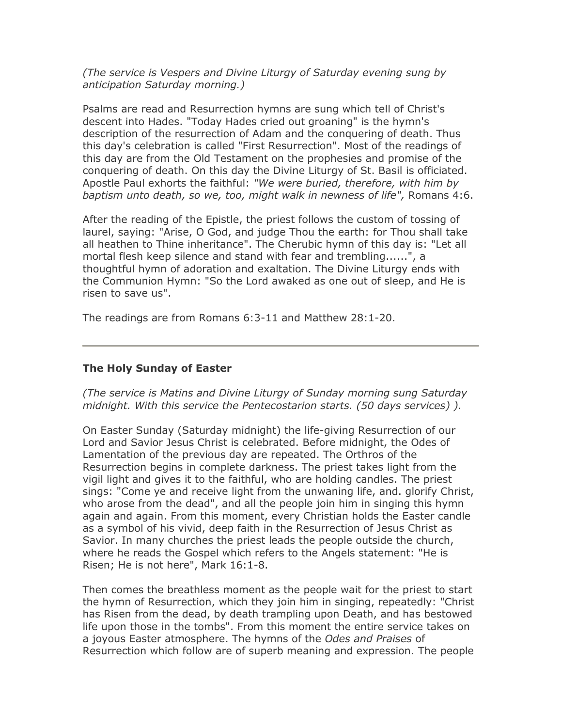### *(The service is Vespers and Divine Liturgy of Saturday evening sung by anticipation Saturday morning.)*

Psalms are read and Resurrection hymns are sung which tell of Christ's descent into Hades. "Today Hades cried out groaning" is the hymn's description of the resurrection of Adam and the conquering of death. Thus this day's celebration is called "First Resurrection". Most of the readings of this day are from the Old Testament on the prophesies and promise of the conquering of death. On this day the Divine Liturgy of St. Basil is officiated. Apostle Paul exhorts the faithful: *"We were buried, therefore, with him by baptism unto death, so we, too, might walk in newness of life",* Romans 4:6.

After the reading of the Epistle, the priest follows the custom of tossing of laurel, saying: "Arise, O God, and judge Thou the earth: for Thou shall take all heathen to Thine inheritance". The Cherubic hymn of this day is: "Let all mortal flesh keep silence and stand with fear and trembling......", a thoughtful hymn of adoration and exaltation. The Divine Liturgy ends with the Communion Hymn: "So the Lord awaked as one out of sleep, and He is risen to save us".

The readings are from Romans 6:3-11 and Matthew 28:1-20.

# **The Holy Sunday of Easter**

*(The service is Matins and Divine Liturgy of Sunday morning sung Saturday midnight. With this service the Pentecostarion starts. (50 days services) ).*

On Easter Sunday (Saturday midnight) the life-giving Resurrection of our Lord and Savior Jesus Christ is celebrated. Before midnight, the Odes of Lamentation of the previous day are repeated. The Orthros of the Resurrection begins in complete darkness. The priest takes light from the vigil light and gives it to the faithful, who are holding candles. The priest sings: "Come ye and receive light from the unwaning life, and. glorify Christ, who arose from the dead", and all the people join him in singing this hymn again and again. From this moment, every Christian holds the Easter candle as a symbol of his vivid, deep faith in the Resurrection of Jesus Christ as Savior. In many churches the priest leads the people outside the church, where he reads the Gospel which refers to the Angels statement: "He is Risen; He is not here", Mark 16:1-8.

Then comes the breathless moment as the people wait for the priest to start the hymn of Resurrection, which they join him in singing, repeatedly: "Christ has Risen from the dead, by death trampling upon Death, and has bestowed life upon those in the tombs". From this moment the entire service takes on a joyous Easter atmosphere. The hymns of the *Odes and Praises* of Resurrection which follow are of superb meaning and expression. The people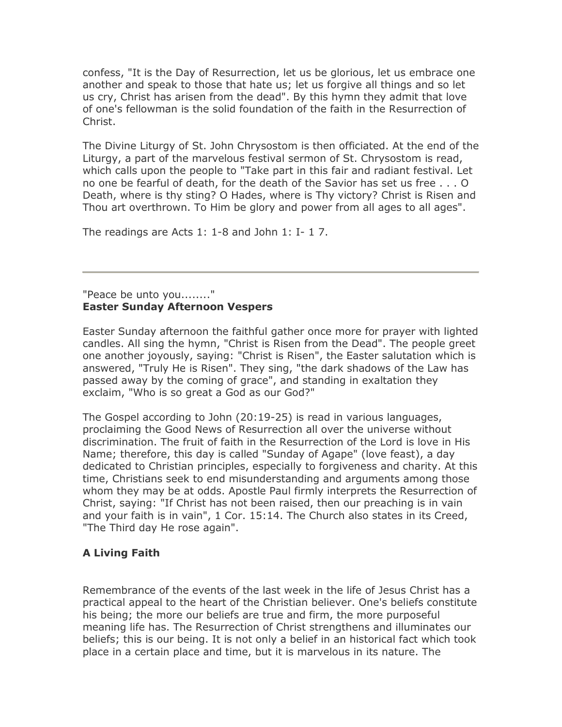confess, "It is the Day of Resurrection, let us be glorious, let us embrace one another and speak to those that hate us; let us forgive all things and so let us cry, Christ has arisen from the dead". By this hymn they admit that love of one's fellowman is the solid foundation of the faith in the Resurrection of Christ.

The Divine Liturgy of St. John Chrysostom is then officiated. At the end of the Liturgy, a part of the marvelous festival sermon of St. Chrysostom is read, which calls upon the people to "Take part in this fair and radiant festival. Let no one be fearful of death, for the death of the Savior has set us free . . . O Death, where is thy sting? O Hades, where is Thy victory? Christ is Risen and Thou art overthrown. To Him be glory and power from all ages to all ages".

The readings are Acts 1: 1-8 and John 1: I- 1 7.

### "Peace be unto you........" **Easter Sunday Afternoon Vespers**

Easter Sunday afternoon the faithful gather once more for prayer with lighted candles. All sing the hymn, "Christ is Risen from the Dead". The people greet one another joyously, saying: "Christ is Risen", the Easter salutation which is answered, "Truly He is Risen". They sing, "the dark shadows of the Law has passed away by the coming of grace", and standing in exaltation they exclaim, "Who is so great a God as our God?"

The Gospel according to John (20:19-25) is read in various languages, proclaiming the Good News of Resurrection all over the universe without discrimination. The fruit of faith in the Resurrection of the Lord is love in His Name; therefore, this day is called "Sunday of Agape" (love feast), a day dedicated to Christian principles, especially to forgiveness and charity. At this time, Christians seek to end misunderstanding and arguments among those whom they may be at odds. Apostle Paul firmly interprets the Resurrection of Christ, saying: "If Christ has not been raised, then our preaching is in vain and your faith is in vain", 1 Cor. 15:14. The Church also states in its Creed, "The Third day He rose again".

# **A Living Faith**

Remembrance of the events of the last week in the life of Jesus Christ has a practical appeal to the heart of the Christian believer. One's beliefs constitute his being; the more our beliefs are true and firm, the more purposeful meaning life has. The Resurrection of Christ strengthens and illuminates our beliefs; this is our being. It is not only a belief in an historical fact which took place in a certain place and time, but it is marvelous in its nature. The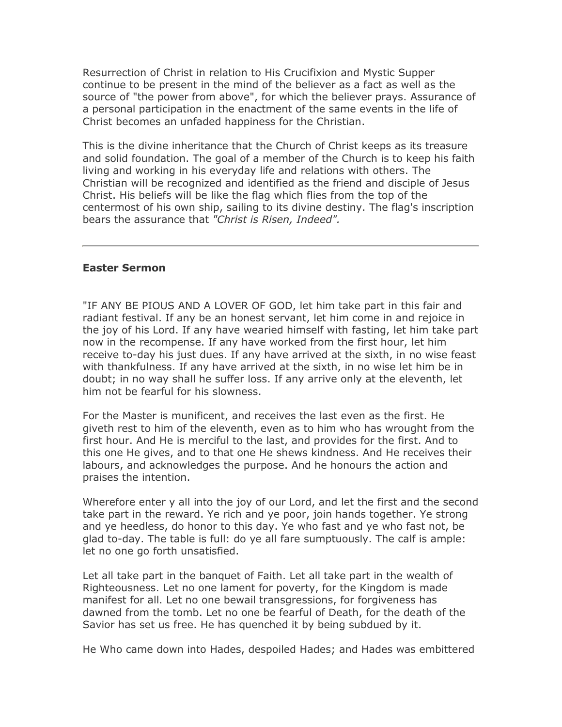Resurrection of Christ in relation to His Crucifixion and Mystic Supper continue to be present in the mind of the believer as a fact as well as the source of "the power from above", for which the believer prays. Assurance of a personal participation in the enactment of the same events in the life of Christ becomes an unfaded happiness for the Christian.

This is the divine inheritance that the Church of Christ keeps as its treasure and solid foundation. The goal of a member of the Church is to keep his faith living and working in his everyday life and relations with others. The Christian will be recognized and identified as the friend and disciple of Jesus Christ. His beliefs will be like the flag which flies from the top of the centermost of his own ship, sailing to its divine destiny. The flag's inscription bears the assurance that *"Christ is Risen, Indeed".*

#### **Easter Sermon**

"IF ANY BE PIOUS AND A LOVER OF GOD, let him take part in this fair and radiant festival. If any be an honest servant, let him come in and rejoice in the joy of his Lord. If any have wearied himself with fasting, let him take part now in the recompense. If any have worked from the first hour, let him receive to-day his just dues. If any have arrived at the sixth, in no wise feast with thankfulness. If any have arrived at the sixth, in no wise let him be in doubt; in no way shall he suffer loss. If any arrive only at the eleventh, let him not be fearful for his slowness.

For the Master is munificent, and receives the last even as the first. He giveth rest to him of the eleventh, even as to him who has wrought from the first hour. And He is merciful to the last, and provides for the first. And to this one He gives, and to that one He shews kindness. And He receives their labours, and acknowledges the purpose. And he honours the action and praises the intention.

Wherefore enter y all into the joy of our Lord, and let the first and the second take part in the reward. Ye rich and ye poor, join hands together. Ye strong and ye heedless, do honor to this day. Ye who fast and ye who fast not, be glad to-day. The table is full: do ye all fare sumptuously. The calf is ample: let no one go forth unsatisfied.

Let all take part in the banquet of Faith. Let all take part in the wealth of Righteousness. Let no one lament for poverty, for the Kingdom is made manifest for all. Let no one bewail transgressions, for forgiveness has dawned from the tomb. Let no one be fearful of Death, for the death of the Savior has set us free. He has quenched it by being subdued by it.

He Who came down into Hades, despoiled Hades; and Hades was embittered